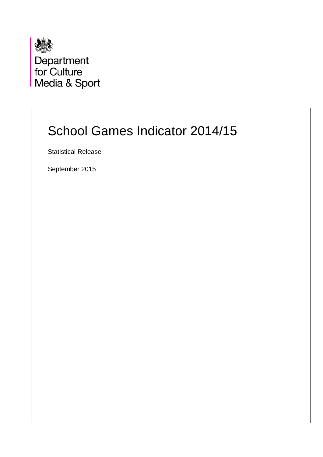

Department<br>for Culture Media & Sport

# School Games Indicator 2014/15

Statistical Release

September 2015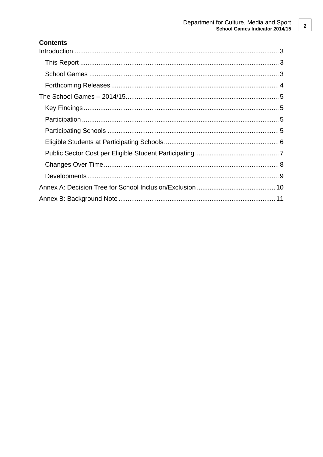### **Contents**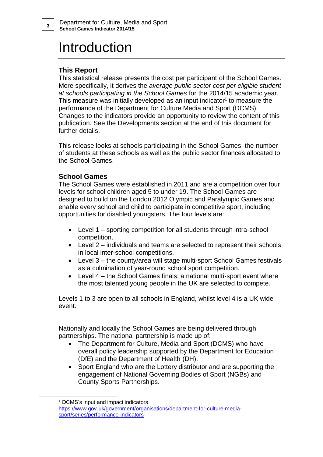# Introduction

## <span id="page-2-1"></span>**This Report**

This statistical release presents the cost per participant of the School Games. More specifically, it derives the *average public sector cost per eligible student at schools participating in the School Games* for the 2014/15 academic year. This measure was initially developed as an input indicator<sup>1</sup> to measure the performance of the Department for Culture Media and Sport (DCMS). Changes to the indicators provide an opportunity to review the content of this publication. See the Developments section at the end of this document for further details.

This release looks at schools participating in the School Games, the number of students at these schools as well as the public sector finances allocated to the School Games.

### <span id="page-2-2"></span>**School Games**

The School Games were established in 2011 and are a competition over four levels for school children aged 5 to under 19. The School Games are designed to build on the London 2012 Olympic and Paralympic Games and enable every school and child to participate in competitive sport, including opportunities for disabled youngsters. The four levels are:

- Level 1 sporting competition for all students through intra-school competition.
- Level 2 individuals and teams are selected to represent their schools in local inter-school competitions.
- Level 3 the county/area will stage multi-sport School Games festivals as a culmination of year-round school sport competition.
- Level 4 the School Games finals: a national multi-sport event where the most talented young people in the UK are selected to compete.

Levels 1 to 3 are open to all schools in England, whilst level 4 is a UK wide event.

Nationally and locally the School Games are being delivered through partnerships. The national partnership is made up of:

- The Department for Culture, Media and Sport (DCMS) who have overall policy leadership supported by the Department for Education (DfE) and the Department of Health (DH).
- Sport England who are the Lottery distributor and are supporting the engagement of National Governing Bodies of Sport (NGBs) and County Sports Partnerships.

1

<span id="page-2-0"></span>

<sup>&</sup>lt;sup>1</sup> DCMS's input and impact indicators

[https://www.gov.uk/government/organisations/department-for-culture-media](https://www.gov.uk/government/organisations/department-for-culture-media-sport/series/performance-indicators)[sport/series/performance-indicators](https://www.gov.uk/government/organisations/department-for-culture-media-sport/series/performance-indicators)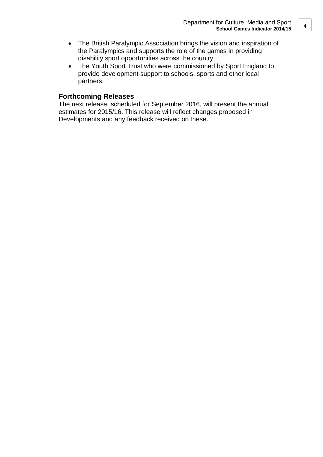- The British Paralympic Association brings the vision and inspiration of the Paralympics and supports the role of the games in providing disability sport opportunities across the country.
- The Youth Sport Trust who were commissioned by Sport England to provide development support to schools, sports and other local partners.

#### <span id="page-3-0"></span>**Forthcoming Releases**

The next release, scheduled for September 2016, will present the annual estimates for 2015/16. This release will reflect changes proposed in Developments and any feedback received on these.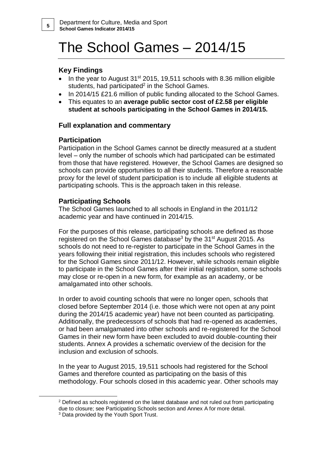# <span id="page-4-0"></span>The School Games – 2014/15

## <span id="page-4-1"></span>**Key Findings**

- In the year to August 31<sup>st</sup> 2015, 19,511 schools with 8.36 million eligible students, had participated<sup>2</sup> in the School Games.
- In 2014/15 £21.6 million of public funding allocated to the School Games.
- This equates to an **average public sector cost of £2.58 per eligible student at schools participating in the School Games in 2014/15.**

## **Full explanation and commentary**

## <span id="page-4-2"></span>**Participation**

Participation in the School Games cannot be directly measured at a student level – only the number of schools which had participated can be estimated from those that have registered. However, the School Games are designed so schools can provide opportunities to all their students. Therefore a reasonable proxy for the level of student participation is to include all eligible students at participating schools. This is the approach taken in this release.

### <span id="page-4-3"></span>**Participating Schools**

The School Games launched to all schools in England in the 2011/12 academic year and have continued in 2014/15.

For the purposes of this release, participating schools are defined as those registered on the School Games database<sup>3</sup> by the 31<sup>st</sup> August 2015. As schools do not need to re-register to participate in the School Games in the years following their initial registration, this includes schools who registered for the School Games since 2011/12. However, while schools remain eligible to participate in the School Games after their initial registration, some schools may close or re-open in a new form, for example as an academy, or be amalgamated into other schools.

In order to avoid counting schools that were no longer open, schools that closed before September 2014 (i.e. those which were not open at any point during the 2014/15 academic year) have not been counted as participating. Additionally, the predecessors of schools that had re-opened as academies, or had been amalgamated into other schools and re-registered for the School Games in their new form have been excluded to avoid double-counting their students. Annex A provides a schematic overview of the decision for the inclusion and exclusion of schools.

In the year to August 2015, 19,511 schools had registered for the School Games and therefore counted as participating on the basis of this methodology. Four schools closed in this academic year. Other schools may

1

 $2$  Defined as schools registered on the latest database and not ruled out from participating due to closure; see Participating Schools section and Annex A for more detail.

<sup>&</sup>lt;sup>3</sup> Data provided by the Youth Sport Trust.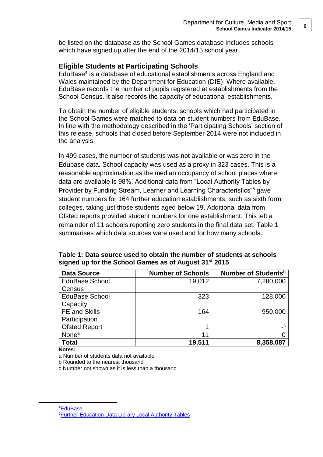be listed on the database as the School Games database includes schools which have signed up after the end of the 2014/15 school year.

### <span id="page-5-0"></span>**Eligible Students at Participating Schools**

EduBase<sup>4</sup> is a database of educational establishments across England and Wales maintained by the Department for Education (DfE). Where available, EduBase records the number of pupils registered at establishments from the School Census. It also records the capacity of educational establishments.

To obtain the number of eligible students, schools which had participated in the School Games were matched to data on student numbers from EduBase. In line with the methodology described in the 'Participating Schools' section of this release, schools that closed before September 2014 were not included in the analysis.

In 499 cases, the number of students was not available or was zero in the Edubase data. School capacity was used as a proxy in 323 cases. This is a reasonable approximation as the median occupancy of school places where data are available is 98%. Additional data from "Local Authority Tables by Provider by Funding Stream, Learner and Learning Characteristics"<sup>5</sup> gave student numbers for 164 further education establishments, such as sixth form colleges, taking just those students aged below 19. Additional data from Ofsted reports provided student numbers for one establishment. This left a remainder of 11 schools reporting zero students in the final data set. Table 1 summarises which data sources were used and for how many schools.

| <b>Data Source</b>    | <b>Number of Schools</b> | Number of Students <sup>b</sup>        |
|-----------------------|--------------------------|----------------------------------------|
| <b>EduBase School</b> | 19,012                   | 7,280,000                              |
| Census                |                          |                                        |
| <b>EduBase School</b> | 323                      | 128,000                                |
| Capacity              |                          |                                        |
| <b>FE and Skills</b>  | 164                      | 950,000                                |
| Participation         |                          |                                        |
| <b>Ofsted Report</b>  | 4                        | $\overline{\phantom{a}}^{\phantom{a}}$ |
| None <sup>a</sup>     | 11                       |                                        |
| Total                 | 19,511                   | 8,358,087                              |

**Table 1: Data source used to obtain the number of students at schools signed up for the School Games as of August 31st 2015**

**Notes:**

1

a Number of students data not available

b Rounded to the nearest thousand

c Number not shown as it is less than a thousand

<sup>4</sup>[EduBase](http://www.education.gov.uk/edubase/home.xhtml) 5[Further Education Data Library Local Authority Tables](https://www.gov.uk/government/statistical-data-sets/fe-data-library-local-authority-tables)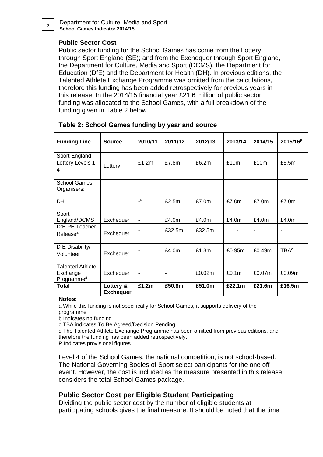Department for Culture, Media and Sport **School Games Indicator 2014/15 <sup>7</sup>**

#### **Public Sector Cost**

Public sector funding for the School Games has come from the Lottery through Sport England (SE); and from the Exchequer through Sport England, the Department for Culture, Media and Sport (DCMS), the Department for Education (DfE) and the Department for Health (DH). In previous editions, the Talented Athlete Exchange Programme was omitted from the calculations, therefore this funding has been added retrospectively for previous years in this release. In the 2014/15 financial year £21.6 million of public sector funding was allocated to the School Games, with a full breakdown of the funding given in Table 2 below.

| <b>Funding Line</b>                                           | <b>Source</b>                 | 2010/11                  | 2011/12                  | 2012/13 | 2013/14 | 2014/15        | 2015/16 <sup>P</sup>    |
|---------------------------------------------------------------|-------------------------------|--------------------------|--------------------------|---------|---------|----------------|-------------------------|
| Sport England<br>Lottery Levels 1-<br>4                       | Lottery                       | £1.2m                    | £7.8m                    | £6.2m   | £10m    | £10m           | £5.5m                   |
| <b>School Games</b><br>Organisers:                            |                               |                          |                          |         |         |                |                         |
| DH                                                            |                               | $\mathsf{b}$             | £2.5m                    | £7.0m   | £7.0m   | £7.0m          | £7.0m                   |
| Sport<br>England/DCMS                                         | Exchequer                     | $\blacksquare$           | £4.0m                    | £4.0m   | £4.0m   | £4.0m          | £4.0m                   |
| DfE PE Teacher<br>Release <sup>a</sup>                        | Exchequer                     |                          | £32.5m                   | £32.5m  |         | $\blacksquare$ | ä,                      |
| DfE Disability/<br>Volunteer                                  | Exchequer                     |                          | £4.0m                    | £1.3m   | £0.95m  | £0.49m         | <b>TBA</b> <sup>c</sup> |
| <b>Talented Athlete</b><br>Exchange<br>Programme <sup>d</sup> | Exchequer                     | $\overline{\phantom{a}}$ | $\overline{\phantom{a}}$ | £0.02m  | £0.1m   | £0.07m         | £0.09m                  |
| <b>Total</b>                                                  | Lottery &<br><b>Exchequer</b> | £1.2m                    | £50.8m                   | £51.0m  | £22.1m  | £21.6m         | £16.5m                  |

| Table 2: School Games funding by year and source |  |  |  |
|--------------------------------------------------|--|--|--|
|                                                  |  |  |  |

**Notes:**

a While this funding is not specifically for School Games, it supports delivery of the programme

b Indicates no funding

c TBA indicates To Be Agreed/Decision Pending

d The Talented Athlete Exchange Programme has been omitted from previous editions, and therefore the funding has been added retrospectively.

P Indicates provisional figures

Level 4 of the School Games, the national competition, is not school-based. The National Governing Bodies of Sport select participants for the one off event. However, the cost is included as the measure presented in this release considers the total School Games package.

### <span id="page-6-0"></span>**Public Sector Cost per Eligible Student Participating**

Dividing the public sector cost by the number of eligible students at participating schools gives the final measure. It should be noted that the time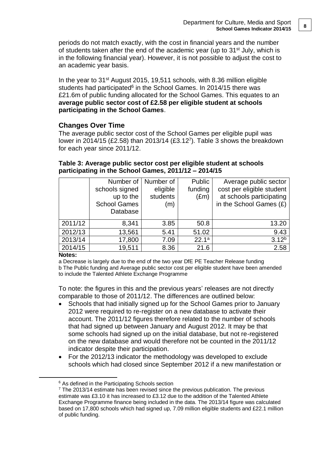periods do not match exactly, with the cost in financial years and the number of students taken after the end of the academic year (up to 31<sup>st</sup> July, which is in the following financial year). However, it is not possible to adjust the cost to an academic year basis.

In the year to 31st August 2015, 19,511 schools, with 8.36 million eligible students had participated<sup>6</sup> in the School Games. In 2014/15 there was £21.6m of public funding allocated for the School Games. This equates to an **average public sector cost of £2.58 per eligible student at schools participating in the School Games**.

### <span id="page-7-0"></span>**Changes Over Time**

The average public sector cost of the School Games per eligible pupil was lower in 2014/15 (£2.58) than 2013/14 (£3.12<sup>7</sup> ). Table 3 shows the breakdown for each year since 2011/12.

### **Table 3: Average public sector cost per eligible student at schools participating in the School Games, 2011/12 – 2014/15**

|         | Number of<br>schools signed<br>up to the<br><b>School Games</b><br>Database | Number of<br>eligible<br>students<br>(m) | Public<br>funding<br>$(\text{Em})$ | Average public sector<br>cost per eligible student<br>at schools participating<br>in the School Games $(E)$ |
|---------|-----------------------------------------------------------------------------|------------------------------------------|------------------------------------|-------------------------------------------------------------------------------------------------------------|
| 2011/12 | 8,341                                                                       | 3.85                                     | 50.8                               | 13.20                                                                                                       |
| 2012/13 | 13,561                                                                      | 5.41                                     | 51.02                              | 9.43                                                                                                        |
| 2013/14 | 17,800                                                                      | 7.09                                     | 22.1 <sup>a</sup>                  | $3.12^{b}$                                                                                                  |
| 2014/15 | 19,511                                                                      | 8.36                                     | 21.6                               | 2.58                                                                                                        |

#### **Notes:**

1

a Decrease is largely due to the end of the two year DfE PE Teacher Release funding b The Public funding and Average public sector cost per eligible student have been amended to include the Talented Athlete Exchange Programme

To note: the figures in this and the previous years' releases are not directly comparable to those of 2011/12. The differences are outlined below:

- Schools that had initially signed up for the School Games prior to January 2012 were required to re-register on a new database to activate their account. The 2011/12 figures therefore related to the number of schools that had signed up between January and August 2012. It may be that some schools had signed up on the initial database, but not re-registered on the new database and would therefore not be counted in the 2011/12 indicator despite their participation.
- For the 2012/13 indicator the methodology was developed to exclude schools which had closed since September 2012 if a new manifestation or

<sup>&</sup>lt;sup>6</sup> As defined in the Participating Schools section

 $7$  The 2013/14 estimate has been revised since the previous publication. The previous estimate was £3.10 it has increased to £3.12 due to the addition of the Talented Athlete Exchange Programme finance being included in the data. The 2013/14 figure was calculated based on 17,800 schools which had signed up, 7.09 million eligible students and £22.1 million of public funding.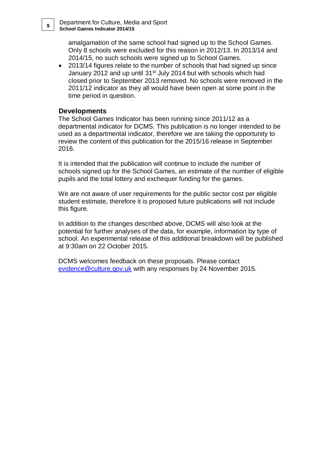amalgamation of the same school had signed up to the School Games. Only 8 schools were excluded for this reason in 2012/13. In 2013/14 and 2014/15, no such schools were signed up to School Games.

 2013/14 figures relate to the number of schools that had signed up since January 2012 and up until 31<sup>st</sup> July 2014 but with schools which had closed prior to September 2013 removed. No schools were removed in the 2011/12 indicator as they all would have been open at some point in the time period in question.

#### <span id="page-8-0"></span>**Developments**

The School Games Indicator has been running since 2011/12 as a departmental indicator for DCMS. This publication is no longer intended to be used as a departmental indicator, therefore we are taking the opportunity to review the content of this publication for the 2015/16 release in September 2016.

It is intended that the publication will continue to include the number of schools signed up for the School Games, an estimate of the number of eligible pupils and the total lottery and exchequer funding for the games.

We are not aware of user requirements for the public sector cost per eligible student estimate, therefore it is proposed future publications will not include this figure.

In addition to the changes described above, DCMS will also look at the potential for further analyses of the data, for example, information by type of school. An experimental release of this additional breakdown will be published at 9:30am on 22 October 2015.

DCMS welcomes feedback on these proposals. Please contact [evidence@culture.gov.uk](mailto:evidence@culture.gov.uk) with any responses by 24 November 2015.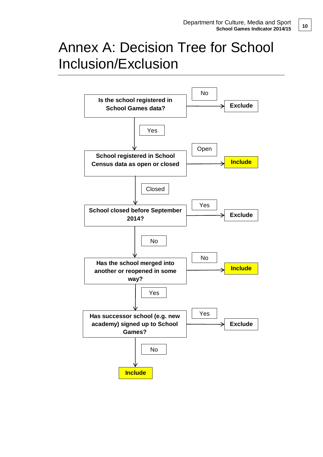# <span id="page-9-0"></span>Annex A: Decision Tree for School Inclusion/Exclusion

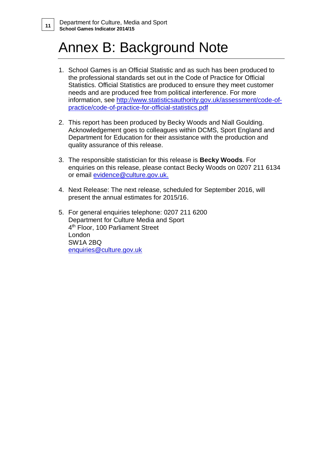# <span id="page-10-0"></span>Annex B: Background Note

- 1. School Games is an Official Statistic and as such has been produced to the professional standards set out in the Code of Practice for Official Statistics. Official Statistics are produced to ensure they meet customer needs and are produced free from political interference. For more information, see [http://www.statisticsauthority.gov.uk/assessment/code-of](http://www.statisticsauthority.gov.uk/assessment/code-of-practice/code-of-practice-for-official-statistics.pdf)[practice/code-of-practice-for-official-statistics.pdf](http://www.statisticsauthority.gov.uk/assessment/code-of-practice/code-of-practice-for-official-statistics.pdf)
- 2. This report has been produced by Becky Woods and Niall Goulding. Acknowledgement goes to colleagues within DCMS, Sport England and Department for Education for their assistance with the production and quality assurance of this release.
- 3. The responsible statistician for this release is **Becky Woods**. For enquiries on this release, please contact Becky Woods on 0207 211 6134 or email **evidence@culture.gov.uk.**
- 4. Next Release: The next release, scheduled for September 2016, will present the annual estimates for 2015/16.
- 5. For general enquiries telephone: 0207 211 6200 Department for Culture Media and Sport 4 th Floor, 100 Parliament Street London SW1A 2BQ [enquiries@culture.gov.uk](mailto:enquiries@culture.gov.uk)